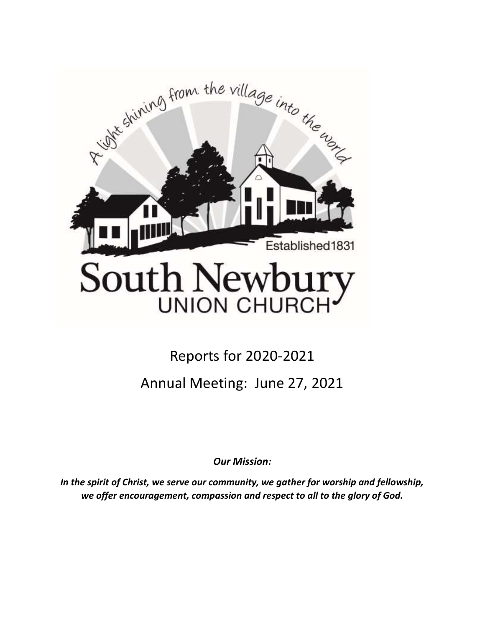

# Reports for 2020-2021 Annual Meeting: June 27, 2021

*Our Mission:* 

*In the spirit of Christ, we serve our community, we gather for worship and fellowship, we offer encouragement, compassion and respect to all to the glory of God.*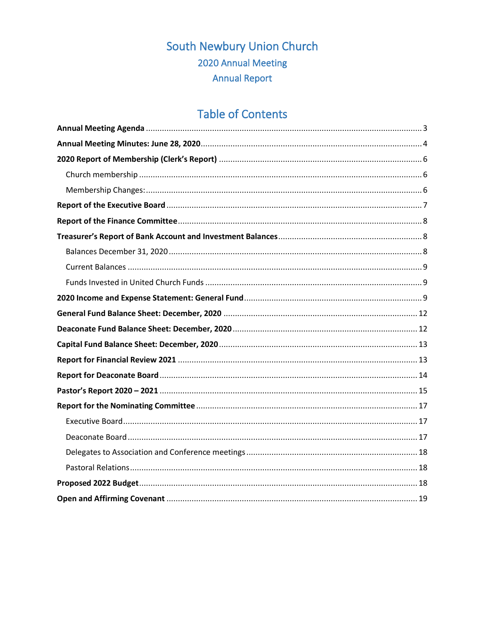# South Newbury Union Church 2020 Annual Meeting **Annual Report**

# **Table of Contents**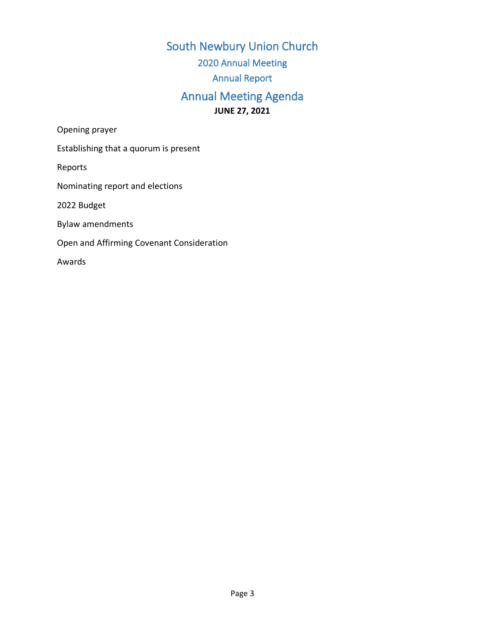South Newbury Union Church 2020 Annual Meeting Annual Report Annual Meeting Agenda **JUNE 27, 2021**

<span id="page-2-0"></span>Opening prayer

Establishing that a quorum is present

Reports

Nominating report and elections

2022 Budget

Bylaw amendments

Open and Affirming Covenant Consideration

Awards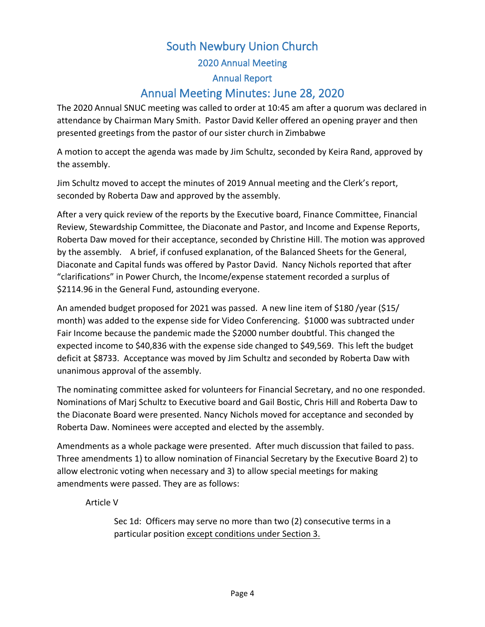# South Newbury Union Church 2020 Annual Meeting Annual Report Annual Meeting Minutes: June 28, 2020

<span id="page-3-0"></span>The 2020 Annual SNUC meeting was called to order at 10:45 am after a quorum was declared in attendance by Chairman Mary Smith. Pastor David Keller offered an opening prayer and then presented greetings from the pastor of our sister church in Zimbabwe

A motion to accept the agenda was made by Jim Schultz, seconded by Keira Rand, approved by the assembly.

Jim Schultz moved to accept the minutes of 2019 Annual meeting and the Clerk's report, seconded by Roberta Daw and approved by the assembly.

After a very quick review of the reports by the Executive board, Finance Committee, Financial Review, Stewardship Committee, the Diaconate and Pastor, and Income and Expense Reports, Roberta Daw moved for their acceptance, seconded by Christine Hill. The motion was approved by the assembly. A brief, if confused explanation, of the Balanced Sheets for the General, Diaconate and Capital funds was offered by Pastor David. Nancy Nichols reported that after "clarifications" in Power Church, the Income/expense statement recorded a surplus of \$2114.96 in the General Fund, astounding everyone.

An amended budget proposed for 2021 was passed. A new line item of \$180 /year (\$15/ month) was added to the expense side for Video Conferencing. \$1000 was subtracted under Fair Income because the pandemic made the \$2000 number doubtful. This changed the expected income to \$40,836 with the expense side changed to \$49,569. This left the budget deficit at \$8733. Acceptance was moved by Jim Schultz and seconded by Roberta Daw with unanimous approval of the assembly.

The nominating committee asked for volunteers for Financial Secretary, and no one responded. Nominations of Marj Schultz to Executive board and Gail Bostic, Chris Hill and Roberta Daw to the Diaconate Board were presented. Nancy Nichols moved for acceptance and seconded by Roberta Daw. Nominees were accepted and elected by the assembly.

Amendments as a whole package were presented. After much discussion that failed to pass. Three amendments 1) to allow nomination of Financial Secretary by the Executive Board 2) to allow electronic voting when necessary and 3) to allow special meetings for making amendments were passed. They are as follows:

Article V

Sec 1d: Officers may serve no more than two (2) consecutive terms in a particular position except conditions under Section 3.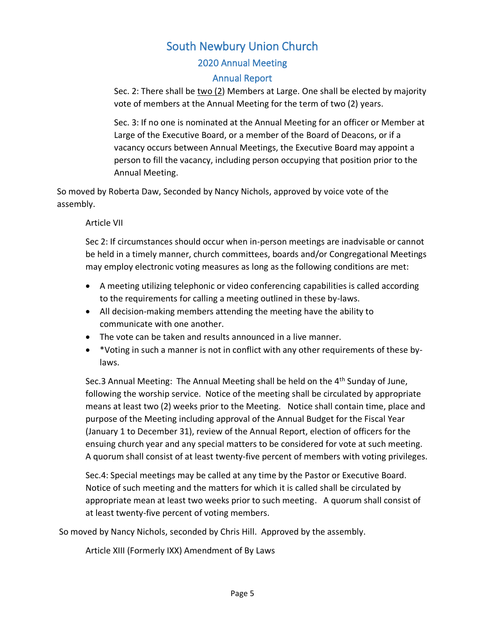### 2020 Annual Meeting

#### Annual Report

Sec. 2: There shall be two (2) Members at Large. One shall be elected by majority vote of members at the Annual Meeting for the term of two (2) years.

Sec. 3: If no one is nominated at the Annual Meeting for an officer or Member at Large of the Executive Board, or a member of the Board of Deacons, or if a vacancy occurs between Annual Meetings, the Executive Board may appoint a person to fill the vacancy, including person occupying that position prior to the Annual Meeting.

So moved by Roberta Daw, Seconded by Nancy Nichols, approved by voice vote of the assembly.

#### Article VII

Sec 2: If circumstances should occur when in-person meetings are inadvisable or cannot be held in a timely manner, church committees, boards and/or Congregational Meetings may employ electronic voting measures as long as the following conditions are met:

- A meeting utilizing telephonic or video conferencing capabilities is called according to the requirements for calling a meeting outlined in these by-laws.
- All decision-making members attending the meeting have the ability to communicate with one another.
- The vote can be taken and results announced in a live manner.
- \*Voting in such a manner is not in conflict with any other requirements of these bylaws.

Sec.3 Annual Meeting: The Annual Meeting shall be held on the 4<sup>th</sup> Sunday of June, following the worship service. Notice of the meeting shall be circulated by appropriate means at least two (2) weeks prior to the Meeting. Notice shall contain time, place and purpose of the Meeting including approval of the Annual Budget for the Fiscal Year (January 1 to December 31), review of the Annual Report, election of officers for the ensuing church year and any special matters to be considered for vote at such meeting. A quorum shall consist of at least twenty-five percent of members with voting privileges.

Sec.4: Special meetings may be called at any time by the Pastor or Executive Board. Notice of such meeting and the matters for which it is called shall be circulated by appropriate mean at least two weeks prior to such meeting. A quorum shall consist of at least twenty-five percent of voting members.

So moved by Nancy Nichols, seconded by Chris Hill. Approved by the assembly.

Article XIII (Formerly IXX) Amendment of By Laws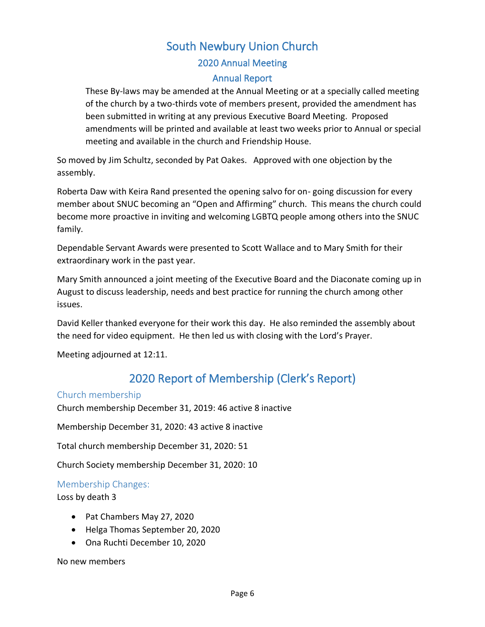### 2020 Annual Meeting

#### Annual Report

These By-laws may be amended at the Annual Meeting or at a specially called meeting of the church by a two-thirds vote of members present, provided the amendment has been submitted in writing at any previous Executive Board Meeting. Proposed amendments will be printed and available at least two weeks prior to Annual or special meeting and available in the church and Friendship House.

So moved by Jim Schultz, seconded by Pat Oakes. Approved with one objection by the assembly.

Roberta Daw with Keira Rand presented the opening salvo for on- going discussion for every member about SNUC becoming an "Open and Affirming" church. This means the church could become more proactive in inviting and welcoming LGBTQ people among others into the SNUC family.

Dependable Servant Awards were presented to Scott Wallace and to Mary Smith for their extraordinary work in the past year.

Mary Smith announced a joint meeting of the Executive Board and the Diaconate coming up in August to discuss leadership, needs and best practice for running the church among other issues.

David Keller thanked everyone for their work this day. He also reminded the assembly about the need for video equipment. He then led us with closing with the Lord's Prayer.

<span id="page-5-0"></span>Meeting adjourned at 12:11.

### 2020 Report of Membership (Clerk's Report)

#### <span id="page-5-1"></span>Church membership

Church membership December 31, 2019: 46 active 8 inactive

Membership December 31, 2020: 43 active 8 inactive

Total church membership December 31, 2020: 51

Church Society membership December 31, 2020: 10

#### <span id="page-5-2"></span>Membership Changes:

Loss by death 3

- Pat Chambers May 27, 2020
- Helga Thomas September 20, 2020
- Ona Ruchti December 10, 2020

No new members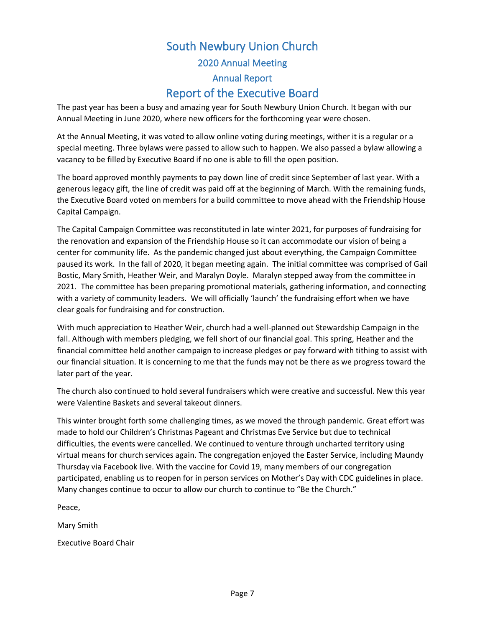### South Newbury Union Church 2020 Annual Meeting Annual Report Report of the Executive Board

<span id="page-6-0"></span>The past year has been a busy and amazing year for South Newbury Union Church. It began with our Annual Meeting in June 2020, where new officers for the forthcoming year were chosen.

At the Annual Meeting, it was voted to allow online voting during meetings, wither it is a regular or a special meeting. Three bylaws were passed to allow such to happen. We also passed a bylaw allowing a vacancy to be filled by Executive Board if no one is able to fill the open position.

The board approved monthly payments to pay down line of credit since September of last year. With a generous legacy gift, the line of credit was paid off at the beginning of March. With the remaining funds, the Executive Board voted on members for a build committee to move ahead with the Friendship House Capital Campaign.

The Capital Campaign Committee was reconstituted in late winter 2021, for purposes of fundraising for the renovation and expansion of the Friendship House so it can accommodate our vision of being a center for community life. As the pandemic changed just about everything, the Campaign Committee paused its work. In the fall of 2020, it began meeting again. The initial committee was comprised of Gail Bostic, Mary Smith, Heather Weir, and Maralyn Doyle. Maralyn stepped away from the committee in 2021. The committee has been preparing promotional materials, gathering information, and connecting with a variety of community leaders. We will officially 'launch' the fundraising effort when we have clear goals for fundraising and for construction.

With much appreciation to Heather Weir, church had a well-planned out Stewardship Campaign in the fall. Although with members pledging, we fell short of our financial goal. This spring, Heather and the financial committee held another campaign to increase pledges or pay forward with tithing to assist with our financial situation. It is concerning to me that the funds may not be there as we progress toward the later part of the year.

The church also continued to hold several fundraisers which were creative and successful. New this year were Valentine Baskets and several takeout dinners.

This winter brought forth some challenging times, as we moved the through pandemic. Great effort was made to hold our Children's Christmas Pageant and Christmas Eve Service but due to technical difficulties, the events were cancelled. We continued to venture through uncharted territory using virtual means for church services again. The congregation enjoyed the Easter Service, including Maundy Thursday via Facebook live. With the vaccine for Covid 19, many members of our congregation participated, enabling us to reopen for in person services on Mother's Day with CDC guidelines in place. Many changes continue to occur to allow our church to continue to "Be the Church."

Peace,

Mary Smith

Executive Board Chair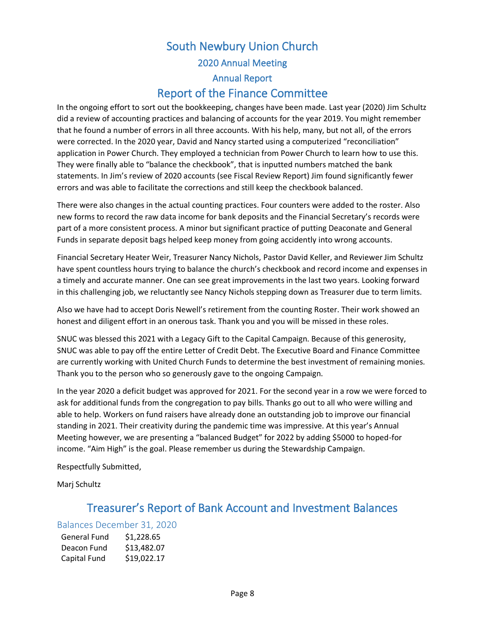### South Newbury Union Church 2020 Annual Meeting Annual Report Report of the Finance Committee

<span id="page-7-0"></span>In the ongoing effort to sort out the bookkeeping, changes have been made. Last year (2020) Jim Schultz did a review of accounting practices and balancing of accounts for the year 2019. You might remember that he found a number of errors in all three accounts. With his help, many, but not all, of the errors were corrected. In the 2020 year, David and Nancy started using a computerized "reconciliation" application in Power Church. They employed a technician from Power Church to learn how to use this. They were finally able to "balance the checkbook", that is inputted numbers matched the bank statements. In Jim's review of 2020 accounts (see Fiscal Review Report) Jim found significantly fewer errors and was able to facilitate the corrections and still keep the checkbook balanced.

There were also changes in the actual counting practices. Four counters were added to the roster. Also new forms to record the raw data income for bank deposits and the Financial Secretary's records were part of a more consistent process. A minor but significant practice of putting Deaconate and General Funds in separate deposit bags helped keep money from going accidently into wrong accounts.

Financial Secretary Heater Weir, Treasurer Nancy Nichols, Pastor David Keller, and Reviewer Jim Schultz have spent countless hours trying to balance the church's checkbook and record income and expenses in a timely and accurate manner. One can see great improvements in the last two years. Looking forward in this challenging job, we reluctantly see Nancy Nichols stepping down as Treasurer due to term limits.

Also we have had to accept Doris Newell's retirement from the counting Roster. Their work showed an honest and diligent effort in an onerous task. Thank you and you will be missed in these roles.

SNUC was blessed this 2021 with a Legacy Gift to the Capital Campaign. Because of this generosity, SNUC was able to pay off the entire Letter of Credit Debt. The Executive Board and Finance Committee are currently working with United Church Funds to determine the best investment of remaining monies. Thank you to the person who so generously gave to the ongoing Campaign.

In the year 2020 a deficit budget was approved for 2021. For the second year in a row we were forced to ask for additional funds from the congregation to pay bills. Thanks go out to all who were willing and able to help. Workers on fund raisers have already done an outstanding job to improve our financial standing in 2021. Their creativity during the pandemic time was impressive. At this year's Annual Meeting however, we are presenting a "balanced Budget" for 2022 by adding \$5000 to hoped-for income. "Aim High" is the goal. Please remember us during the Stewardship Campaign.

Respectfully Submitted,

<span id="page-7-1"></span>Marj Schultz

### Treasurer's Report of Bank Account and Investment Balances

#### <span id="page-7-2"></span>Balances December 31, 2020

| <b>General Fund</b> | \$1,228.65  |
|---------------------|-------------|
| Deacon Fund         | \$13,482.07 |
| Capital Fund        | \$19,022.17 |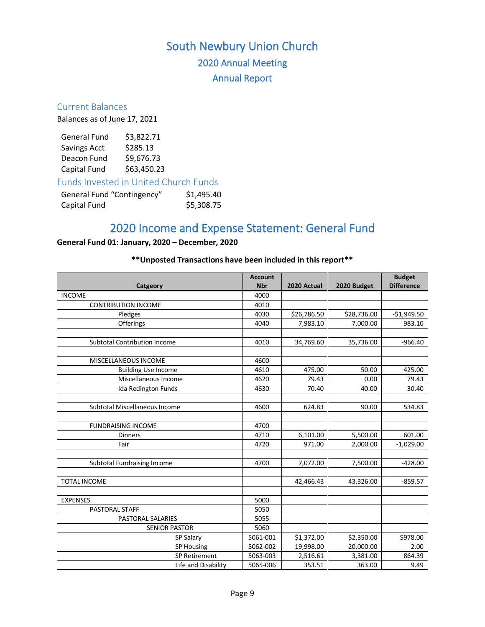# South Newbury Union Church 2020 Annual Meeting Annual Report

#### <span id="page-8-0"></span>Current Balances

Balances as of June 17, 2021

| <b>General Fund</b> | \$3,822.71  |
|---------------------|-------------|
| Savings Acct        | \$285.13    |
| Deacon Fund         | \$9,676.73  |
| Capital Fund        | \$63,450.23 |

<span id="page-8-1"></span>Funds Invested in United Church Funds

<span id="page-8-2"></span>

| General Fund "Contingency" | \$1,495.40 |
|----------------------------|------------|
| Capital Fund               | \$5,308.75 |

### 2020 Income and Expense Statement: General Fund

#### **General Fund 01: January, 2020 – December, 2020**

#### **\*\*Unposted Transactions have been included in this report\*\***

|                               | <b>Account</b> |             |             | <b>Budget</b>     |
|-------------------------------|----------------|-------------|-------------|-------------------|
| Catgeory                      | <b>Nbr</b>     | 2020 Actual | 2020 Budget | <b>Difference</b> |
| <b>INCOME</b>                 | 4000           |             |             |                   |
| <b>CONTRIBUTION INCOME</b>    | 4010           |             |             |                   |
| Pledges                       | 4030           | \$26,786.50 | \$28,736.00 | $-$1,949.50$      |
| Offerings                     | 4040           | 7,983.10    | 7,000.00    | 983.10            |
|                               |                |             |             |                   |
| Subtotal Contribution Income  | 4010           | 34,769.60   | 35,736.00   | $-966.40$         |
|                               |                |             |             |                   |
| <b>MISCELLANEOUS INCOME</b>   | 4600           |             |             |                   |
| <b>Building Use Income</b>    | 4610           | 475.00      | 50.00       | 425.00            |
| Miscellaneous Income          | 4620           | 79.43       | 0.00        | 79.43             |
| Ida Redington Funds           | 4630           | 70.40       | 40.00       | 30.40             |
|                               |                |             |             |                   |
| Subtotal Miscellaneous Income | 4600           | 624.83      | 90.00       | 534.83            |
|                               |                |             |             |                   |
| <b>FUNDRAISING INCOME</b>     | 4700           |             |             |                   |
| <b>Dinners</b>                | 4710           | 6,101.00    | 5,500.00    | 601.00            |
| Fair                          | 4720           | 971.00      | 2,000.00    | $-1,029.00$       |
|                               |                |             |             |                   |
| Subtotal Fundraising Income   | 4700           | 7,072.00    | 7,500.00    | $-428.00$         |
|                               |                |             |             |                   |
| <b>TOTAL INCOME</b>           |                | 42,466.43   | 43,326.00   | $-859.57$         |
|                               |                |             |             |                   |
| <b>EXPENSES</b>               | 5000           |             |             |                   |
| PASTORAL STAFF                | 5050           |             |             |                   |
| PASTORAL SALARIES             | 5055           |             |             |                   |
| <b>SENIOR PASTOR</b>          | 5060           |             |             |                   |
| SP Salary                     | 5061-001       | \$1,372.00  | \$2,350.00  | \$978.00          |
| SP Housing                    | 5062-002       | 19,998.00   | 20,000.00   | 2.00              |
| SP Retirement                 | 5063-003       | 2,516.61    | 3,381.00    | 864.39            |
| Life and Disability           | 5065-006       | 353.51      | 363.00      | 9.49              |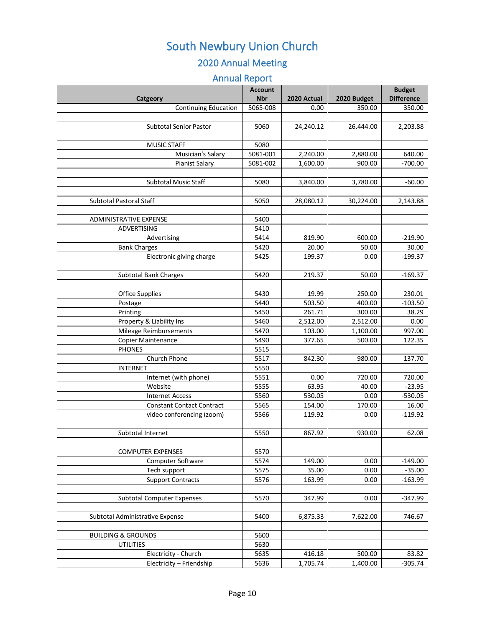### 2020 Annual Meeting

### Annual Report

|                                   | <b>Account</b> |             |             | <b>Budget</b>     |
|-----------------------------------|----------------|-------------|-------------|-------------------|
| Catgeory                          | <b>Nbr</b>     | 2020 Actual | 2020 Budget | <b>Difference</b> |
| Continuing Education              | 5065-008       | 0.00        | 350.00      | 350.00            |
|                                   |                |             |             |                   |
| <b>Subtotal Senior Pastor</b>     | 5060           | 24,240.12   | 26,444.00   | 2,203.88          |
|                                   |                |             |             |                   |
| <b>MUSIC STAFF</b>                | 5080           |             |             |                   |
| Musician's Salary                 | 5081-001       | 2,240.00    | 2,880.00    | 640.00            |
| Pianist Salary                    | 5081-002       | 1,600.00    | 900.00      | $-700.00$         |
| <b>Subtotal Music Staff</b>       | 5080           | 3,840.00    | 3,780.00    | $-60.00$          |
|                                   |                |             |             |                   |
| <b>Subtotal Pastoral Staff</b>    | 5050           | 28,080.12   | 30,224.00   | 2,143.88          |
|                                   |                |             |             |                   |
| <b>ADMINISTRATIVE EXPENSE</b>     | 5400           |             |             |                   |
| ADVERTISING                       | 5410           |             |             |                   |
| Advertising                       | 5414           | 819.90      | 600.00      | $-219.90$         |
| <b>Bank Charges</b>               | 5420           | 20.00       | 50.00       | 30.00             |
| Electronic giving charge          | 5425           | 199.37      | 0.00        | $-199.37$         |
|                                   |                |             |             |                   |
| <b>Subtotal Bank Charges</b>      | 5420           | 219.37      | 50.00       | $-169.37$         |
|                                   |                |             |             |                   |
| <b>Office Supplies</b>            | 5430           | 19.99       | 250.00      | 230.01            |
| Postage                           | 5440           | 503.50      | 400.00      | $-103.50$         |
| Printing                          | 5450           | 261.71      | 300.00      | 38.29             |
| Property & Liability Ins          | 5460           | 2,512.00    | 2,512.00    | 0.00              |
| Mileage Reimbursements            | 5470           | 103.00      | 1,100.00    | 997.00            |
| <b>Copier Maintenance</b>         | 5490           | 377.65      | 500.00      | 122.35            |
| <b>PHONES</b>                     | 5515           |             |             |                   |
| Church Phone                      | 5517           | 842.30      | 980.00      | 137.70            |
| <b>INTERNET</b>                   | 5550           |             |             |                   |
| Internet (with phone)             | 5551           | 0.00        | 720.00      | 720.00            |
| Website                           | 5555           | 63.95       | 40.00       | $-23.95$          |
| <b>Internet Access</b>            | 5560           | 530.05      | 0.00        | $-530.05$         |
| <b>Constant Contact Contract</b>  | 5565           | 154.00      | 170.00      | 16.00             |
| video conferencing (zoom)         | 5566           | 119.92      | 0.00        | $-119.92$         |
|                                   |                |             |             |                   |
| Subtotal Internet                 | 5550           | 867.92      | 930.00      | 62.08             |
| <b>COMPUTER EXPENSES</b>          | 5570           |             |             |                   |
|                                   | 5574           | 149.00      | 0.00        | $-149.00$         |
| Computer Software<br>Tech support | 5575           | 35.00       | 0.00        | $-35.00$          |
| <b>Support Contracts</b>          | 5576           | 163.99      | 0.00        | $-163.99$         |
|                                   |                |             |             |                   |
| <b>Subtotal Computer Expenses</b> | 5570           | 347.99      | 0.00        | $-347.99$         |
|                                   |                |             |             |                   |
| Subtotal Administrative Expense   | 5400           | 6,875.33    | 7,622.00    | 746.67            |
|                                   |                |             |             |                   |
| <b>BUILDING &amp; GROUNDS</b>     | 5600           |             |             |                   |
| <b>UTILITIES</b>                  | 5630           |             |             |                   |
| Electricity - Church              | 5635           | 416.18      | 500.00      | 83.82             |
| Electricity - Friendship          | 5636           | 1,705.74    | 1,400.00    | $-305.74$         |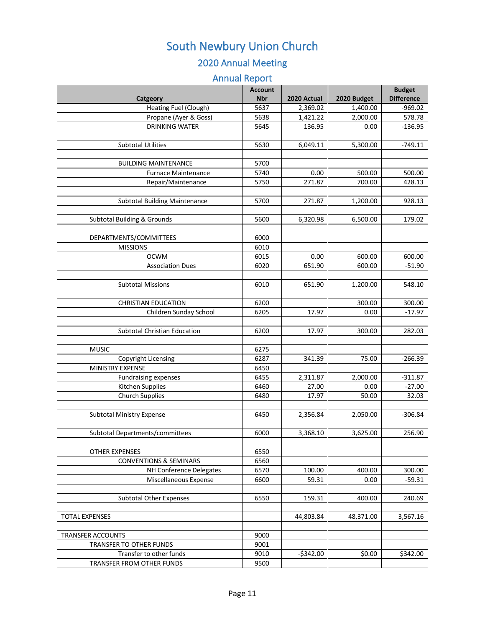### 2020 Annual Meeting

### Annual Report

| <b>Account</b> |                                                                                                                                                                                              |                                                                                                                                                                       | <b>Budget</b>                                                                                                                                                                     |
|----------------|----------------------------------------------------------------------------------------------------------------------------------------------------------------------------------------------|-----------------------------------------------------------------------------------------------------------------------------------------------------------------------|-----------------------------------------------------------------------------------------------------------------------------------------------------------------------------------|
| <b>Nbr</b>     | 2020 Actual                                                                                                                                                                                  | 2020 Budget                                                                                                                                                           | <b>Difference</b>                                                                                                                                                                 |
| 5637           | 2,369.02                                                                                                                                                                                     | 1,400.00                                                                                                                                                              | $-969.02$                                                                                                                                                                         |
| 5638           | 1,421.22                                                                                                                                                                                     | 2,000.00                                                                                                                                                              | 578.78                                                                                                                                                                            |
| 5645           | 136.95                                                                                                                                                                                       | 0.00                                                                                                                                                                  | $-136.95$                                                                                                                                                                         |
|                |                                                                                                                                                                                              |                                                                                                                                                                       |                                                                                                                                                                                   |
|                |                                                                                                                                                                                              |                                                                                                                                                                       | $-749.11$                                                                                                                                                                         |
|                |                                                                                                                                                                                              |                                                                                                                                                                       |                                                                                                                                                                                   |
|                |                                                                                                                                                                                              |                                                                                                                                                                       |                                                                                                                                                                                   |
|                |                                                                                                                                                                                              |                                                                                                                                                                       | 500.00                                                                                                                                                                            |
|                |                                                                                                                                                                                              |                                                                                                                                                                       | 428.13                                                                                                                                                                            |
|                |                                                                                                                                                                                              |                                                                                                                                                                       |                                                                                                                                                                                   |
|                |                                                                                                                                                                                              |                                                                                                                                                                       | 928.13                                                                                                                                                                            |
|                |                                                                                                                                                                                              |                                                                                                                                                                       |                                                                                                                                                                                   |
|                |                                                                                                                                                                                              |                                                                                                                                                                       | 179.02                                                                                                                                                                            |
|                |                                                                                                                                                                                              |                                                                                                                                                                       |                                                                                                                                                                                   |
|                |                                                                                                                                                                                              |                                                                                                                                                                       |                                                                                                                                                                                   |
|                |                                                                                                                                                                                              |                                                                                                                                                                       | 600.00                                                                                                                                                                            |
|                |                                                                                                                                                                                              |                                                                                                                                                                       | $-51.90$                                                                                                                                                                          |
|                |                                                                                                                                                                                              |                                                                                                                                                                       |                                                                                                                                                                                   |
|                |                                                                                                                                                                                              |                                                                                                                                                                       | 548.10                                                                                                                                                                            |
|                |                                                                                                                                                                                              |                                                                                                                                                                       |                                                                                                                                                                                   |
|                |                                                                                                                                                                                              |                                                                                                                                                                       | 300.00                                                                                                                                                                            |
|                |                                                                                                                                                                                              |                                                                                                                                                                       | $-17.97$                                                                                                                                                                          |
|                |                                                                                                                                                                                              |                                                                                                                                                                       |                                                                                                                                                                                   |
| 6200           | 17.97                                                                                                                                                                                        | 300.00                                                                                                                                                                | 282.03                                                                                                                                                                            |
|                |                                                                                                                                                                                              |                                                                                                                                                                       |                                                                                                                                                                                   |
| 6275           |                                                                                                                                                                                              |                                                                                                                                                                       |                                                                                                                                                                                   |
| 6287           | 341.39                                                                                                                                                                                       | 75.00                                                                                                                                                                 | $-266.39$                                                                                                                                                                         |
| 6450           |                                                                                                                                                                                              |                                                                                                                                                                       |                                                                                                                                                                                   |
| 6455           | 2,311.87                                                                                                                                                                                     | 2,000.00                                                                                                                                                              | $-311.87$                                                                                                                                                                         |
| 6460           | 27.00                                                                                                                                                                                        | 0.00                                                                                                                                                                  | $-27.00$                                                                                                                                                                          |
|                | 17.97                                                                                                                                                                                        | 50.00                                                                                                                                                                 | 32.03                                                                                                                                                                             |
|                |                                                                                                                                                                                              |                                                                                                                                                                       |                                                                                                                                                                                   |
| 6450           |                                                                                                                                                                                              |                                                                                                                                                                       | $-306.84$                                                                                                                                                                         |
|                |                                                                                                                                                                                              |                                                                                                                                                                       |                                                                                                                                                                                   |
|                |                                                                                                                                                                                              |                                                                                                                                                                       | 256.90                                                                                                                                                                            |
|                |                                                                                                                                                                                              |                                                                                                                                                                       |                                                                                                                                                                                   |
|                |                                                                                                                                                                                              |                                                                                                                                                                       |                                                                                                                                                                                   |
|                |                                                                                                                                                                                              |                                                                                                                                                                       |                                                                                                                                                                                   |
|                |                                                                                                                                                                                              |                                                                                                                                                                       | 300.00                                                                                                                                                                            |
|                |                                                                                                                                                                                              |                                                                                                                                                                       | $-59.31$                                                                                                                                                                          |
|                |                                                                                                                                                                                              |                                                                                                                                                                       |                                                                                                                                                                                   |
|                |                                                                                                                                                                                              |                                                                                                                                                                       | 240.69                                                                                                                                                                            |
|                |                                                                                                                                                                                              |                                                                                                                                                                       |                                                                                                                                                                                   |
|                |                                                                                                                                                                                              |                                                                                                                                                                       | 3,567.16                                                                                                                                                                          |
|                |                                                                                                                                                                                              |                                                                                                                                                                       |                                                                                                                                                                                   |
|                |                                                                                                                                                                                              |                                                                                                                                                                       |                                                                                                                                                                                   |
|                |                                                                                                                                                                                              |                                                                                                                                                                       | \$342.00                                                                                                                                                                          |
|                |                                                                                                                                                                                              |                                                                                                                                                                       |                                                                                                                                                                                   |
|                | 5630<br>5700<br>5740<br>5750<br>5700<br>5600<br>6000<br>6010<br>6015<br>6020<br>6010<br>6200<br>6205<br>6480<br>6000<br>6550<br>6560<br>6570<br>6600<br>6550<br>9000<br>9001<br>9010<br>9500 | 6,049.11<br>0.00<br>271.87<br>271.87<br>6,320.98<br>0.00<br>651.90<br>651.90<br>17.97<br>2,356.84<br>3,368.10<br>100.00<br>59.31<br>159.31<br>44,803.84<br>$-$342.00$ | 5,300.00<br>500.00<br>700.00<br>1,200.00<br>6,500.00<br>600.00<br>600.00<br>1,200.00<br>300.00<br>0.00<br>2,050.00<br>3,625.00<br>400.00<br>0.00<br>400.00<br>48,371.00<br>\$0.00 |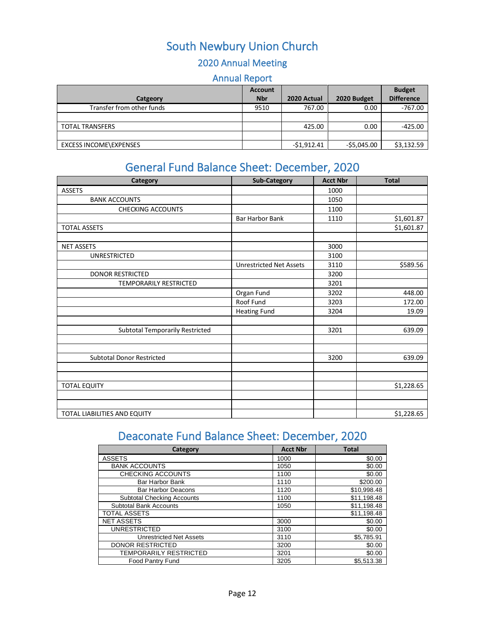### 2020 Annual Meeting

### Annual Report

|                           | <b>Account</b> |              |             | <b>Budget</b>     |
|---------------------------|----------------|--------------|-------------|-------------------|
| Catgeory                  | <b>Nbr</b>     | 2020 Actual  | 2020 Budget | <b>Difference</b> |
| Transfer from other funds | 9510           | 767.00       | 0.00        | $-767.00$         |
|                           |                |              |             |                   |
| <b>TOTAL TRANSFERS</b>    |                | 425.00       | 0.00        | $-425.00$         |
|                           |                |              |             |                   |
| EXCESS INCOME\EXPENSES    |                | $-51,912.41$ | -\$5,045.00 | \$3,132.59        |

### General Fund Balance Sheet: December, 2020

<span id="page-11-0"></span>

| Category                               | <b>Sub-Category</b>            | <b>Acct Nbr</b> | <b>Total</b> |
|----------------------------------------|--------------------------------|-----------------|--------------|
| <b>ASSETS</b>                          |                                | 1000            |              |
| <b>BANK ACCOUNTS</b>                   |                                | 1050            |              |
| <b>CHECKING ACCOUNTS</b>               |                                | 1100            |              |
|                                        | <b>Bar Harbor Bank</b>         | 1110            | \$1,601.87   |
| <b>TOTAL ASSETS</b>                    |                                |                 | \$1,601.87   |
|                                        |                                |                 |              |
| <b>NET ASSETS</b>                      |                                | 3000            |              |
| <b>UNRESTRICTED</b>                    |                                | 3100            |              |
|                                        | <b>Unrestricted Net Assets</b> | 3110            | \$589.56     |
| <b>DONOR RESTRICTED</b>                |                                | 3200            |              |
| TEMPORARILY RESTRICTED                 |                                | 3201            |              |
|                                        | Organ Fund                     | 3202            | 448.00       |
|                                        | Roof Fund                      | 3203            | 172.00       |
|                                        | <b>Heating Fund</b>            | 3204            | 19.09        |
|                                        |                                |                 |              |
| <b>Subtotal Temporarily Restricted</b> |                                | 3201            | 639.09       |
|                                        |                                |                 |              |
|                                        |                                |                 |              |
| <b>Subtotal Donor Restricted</b>       |                                | 3200            | 639.09       |
|                                        |                                |                 |              |
| <b>TOTAL EQUITY</b>                    |                                |                 | \$1,228.65   |
|                                        |                                |                 |              |
|                                        |                                |                 |              |
| TOTAL LIABILITIES AND EQUITY           |                                |                 | \$1,228.65   |

# Deaconate Fund Balance Sheet: December, 2020

<span id="page-11-1"></span>

| Category                          | <b>Acct Nbr</b> | <b>Total</b> |
|-----------------------------------|-----------------|--------------|
| <b>ASSETS</b>                     | 1000            | \$0.00       |
| <b>BANK ACCOUNTS</b>              | 1050            | \$0.00       |
| <b>CHECKING ACCOUNTS</b>          | 1100            | \$0.00       |
| <b>Bar Harbor Bank</b>            | 1110            | \$200.00     |
| <b>Bar Harbor Deacons</b>         | 1120            | \$10,998.48  |
| <b>Subtotal Checking Accounts</b> | 1100            | \$11,198.48  |
| <b>Subtotal Bank Accounts</b>     | 1050            | \$11,198.48  |
| <b>TOTAL ASSETS</b>               |                 | \$11,198.48  |
| <b>NET ASSETS</b>                 | 3000            | \$0.00       |
| <b>UNRESTRICTED</b>               | 3100            | \$0.00       |
| <b>Unrestricted Net Assets</b>    | 3110            | \$5,785.91   |
| <b>DONOR RESTRICTED</b>           | 3200            | \$0.00       |
| <b>TEMPORARILY RESTRICTED</b>     | 3201            | \$0.00       |
| <b>Food Pantry Fund</b>           | 3205            | \$5.513.38   |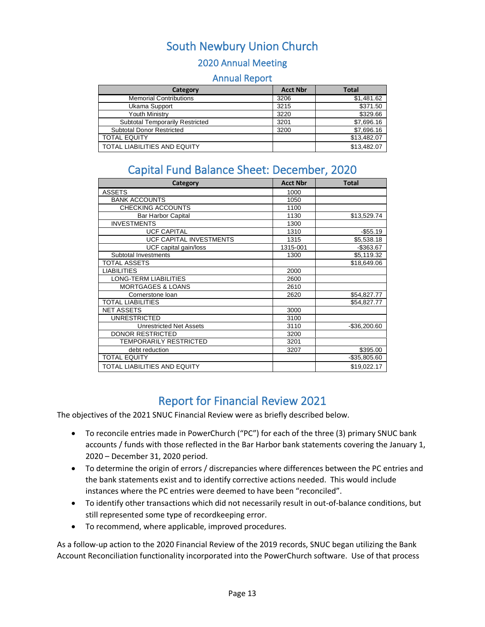#### 2020 Annual Meeting

#### Annual Report

| Category                               | <b>Acct Nbr</b> | <b>Total</b> |
|----------------------------------------|-----------------|--------------|
| <b>Memorial Contributions</b>          | 3206            | \$1,481.62   |
| Ukama Support                          | 3215            | \$371.50     |
| <b>Youth Ministry</b>                  | 3220            | \$329.66     |
| <b>Subtotal Temporarily Restricted</b> | 3201            | \$7,696.16   |
| <b>Subtotal Donor Restricted</b>       | 3200            | \$7,696.16   |
| <b>TOTAL EQUITY</b>                    |                 | \$13,482.07  |
| TOTAL LIABILITIES AND EQUITY           |                 | \$13,482.07  |

### Capital Fund Balance Sheet: December, 2020

<span id="page-12-0"></span>

| Category                       | <b>Acct Nbr</b> | <b>Total</b>  |
|--------------------------------|-----------------|---------------|
| <b>ASSETS</b>                  | 1000            |               |
| <b>BANK ACCOUNTS</b>           | 1050            |               |
| <b>CHECKING ACCOUNTS</b>       | 1100            |               |
| <b>Bar Harbor Capital</b>      | 1130            | \$13,529.74   |
| <b>INVESTMENTS</b>             | 1300            |               |
| <b>UCF CAPITAL</b>             | 1310            | $-$55.19$     |
| UCF CAPITAL INVESTMENTS        | 1315            | \$5,538.18    |
| UCF capital gain/loss          | 1315-001        | $-$ \$363.67  |
| Subtotal Investments           | 1300            | \$5,119.32    |
| TOTAL ASSETS                   |                 | \$18,649.06   |
| <b>LIABILITIES</b>             | 2000            |               |
| LONG-TERM LIABILITIES          | 2600            |               |
| <b>MORTGAGES &amp; LOANS</b>   | 2610            |               |
| Cornerstone loan               | 2620            | \$54,827.77   |
| TOTAL LIABILITIES              |                 | \$54,827.77   |
| <b>NET ASSETS</b>              | 3000            |               |
| <b>UNRESTRICTED</b>            | 3100            |               |
| <b>Unrestricted Net Assets</b> | 3110            | $-$36,200.60$ |
| <b>DONOR RESTRICTED</b>        | 3200            |               |
| <b>TEMPORARILY RESTRICTED</b>  | 3201            |               |
| debt reduction                 | 3207            | \$395.00      |
| <b>TOTAL EQUITY</b>            |                 | $-$35,805.60$ |
| TOTAL LIABILITIES AND EQUITY   |                 | \$19,022.17   |

### Report for Financial Review 2021

<span id="page-12-1"></span>The objectives of the 2021 SNUC Financial Review were as briefly described below.

- To reconcile entries made in PowerChurch ("PC") for each of the three (3) primary SNUC bank accounts / funds with those reflected in the Bar Harbor bank statements covering the January 1, 2020 – December 31, 2020 period.
- To determine the origin of errors / discrepancies where differences between the PC entries and the bank statements exist and to identify corrective actions needed. This would include instances where the PC entries were deemed to have been "reconciled".
- To identify other transactions which did not necessarily result in out-of-balance conditions, but still represented some type of recordkeeping error.
- To recommend, where applicable, improved procedures.

As a follow-up action to the 2020 Financial Review of the 2019 records, SNUC began utilizing the Bank Account Reconciliation functionality incorporated into the PowerChurch software. Use of that process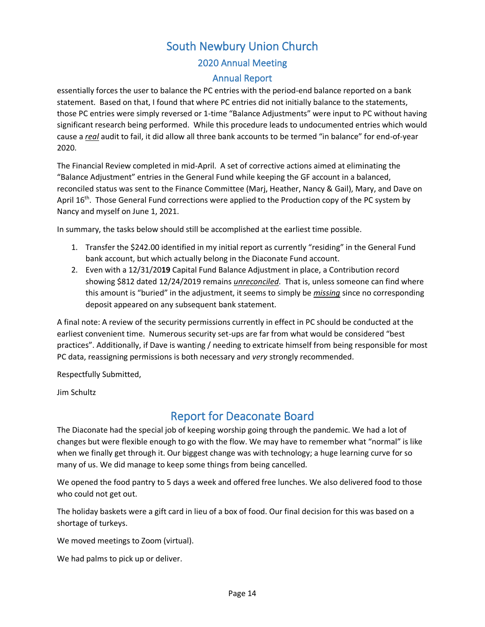### 2020 Annual Meeting

#### Annual Report

essentially forces the user to balance the PC entries with the period-end balance reported on a bank statement. Based on that, I found that where PC entries did not initially balance to the statements, those PC entries were simply reversed or 1-time "Balance Adjustments" were input to PC without having significant research being performed. While this procedure leads to undocumented entries which would cause a *real* audit to fail, it did allow all three bank accounts to be termed "in balance" for end-of-year 2020.

The Financial Review completed in mid-April. A set of corrective actions aimed at eliminating the "Balance Adjustment" entries in the General Fund while keeping the GF account in a balanced, reconciled status was sent to the Finance Committee (Marj, Heather, Nancy & Gail), Mary, and Dave on April 16<sup>th</sup>. Those General Fund corrections were applied to the Production copy of the PC system by Nancy and myself on June 1, 2021.

In summary, the tasks below should still be accomplished at the earliest time possible.

- 1. Transfer the \$242.00 identified in my initial report as currently "residing" in the General Fund bank account, but which actually belong in the Diaconate Fund account.
- 2. Even with a 12/31/20**19** Capital Fund Balance Adjustment in place, a Contribution record showing \$812 dated 12/24/2019 remains *unreconciled*. That is, unless someone can find where this amount is "buried" in the adjustment, it seems to simply be *missing* since no corresponding deposit appeared on any subsequent bank statement.

A final note: A review of the security permissions currently in effect in PC should be conducted at the earliest convenient time. Numerous security set-ups are far from what would be considered "best practices". Additionally, if Dave is wanting / needing to extricate himself from being responsible for most PC data, reassigning permissions is both necessary and *very* strongly recommended.

Respectfully Submitted,

<span id="page-13-0"></span>Jim Schultz

### Report for Deaconate Board

The Diaconate had the special job of keeping worship going through the pandemic. We had a lot of changes but were flexible enough to go with the flow. We may have to remember what "normal" is like when we finally get through it. Our biggest change was with technology; a huge learning curve for so many of us. We did manage to keep some things from being cancelled.

We opened the food pantry to 5 days a week and offered free lunches. We also delivered food to those who could not get out.

The holiday baskets were a gift card in lieu of a box of food. Our final decision for this was based on a shortage of turkeys.

We moved meetings to Zoom (virtual).

We had palms to pick up or deliver.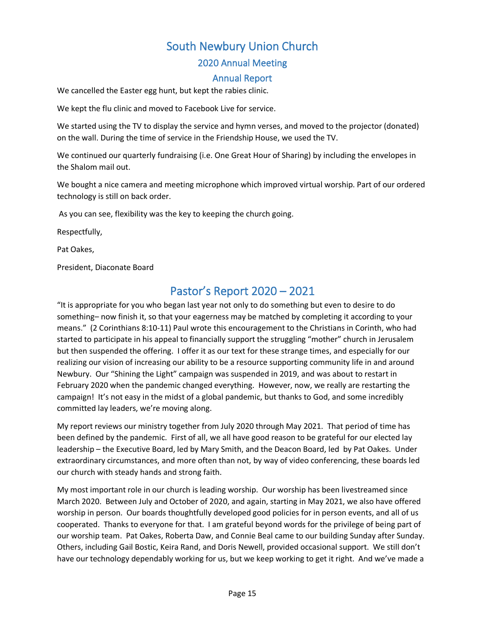#### 2020 Annual Meeting

#### Annual Report

We cancelled the Easter egg hunt, but kept the rabies clinic.

We kept the flu clinic and moved to Facebook Live for service.

We started using the TV to display the service and hymn verses, and moved to the projector (donated) on the wall. During the time of service in the Friendship House, we used the TV.

We continued our quarterly fundraising (i.e. One Great Hour of Sharing) by including the envelopes in the Shalom mail out.

We bought a nice camera and meeting microphone which improved virtual worship. Part of our ordered technology is still on back order.

As you can see, flexibility was the key to keeping the church going.

Respectfully,

Pat Oakes,

<span id="page-14-0"></span>President, Diaconate Board

### Pastor's Report 2020 – 2021

"It is appropriate for you who began last year not only to do something but even to desire to do something– now finish it, so that your eagerness may be matched by completing it according to your means." (2 Corinthians 8:10-11) Paul wrote this encouragement to the Christians in Corinth, who had started to participate in his appeal to financially support the struggling "mother" church in Jerusalem but then suspended the offering. I offer it as our text for these strange times, and especially for our realizing our vision of increasing our ability to be a resource supporting community life in and around Newbury. Our "Shining the Light" campaign was suspended in 2019, and was about to restart in February 2020 when the pandemic changed everything. However, now, we really are restarting the campaign! It's not easy in the midst of a global pandemic, but thanks to God, and some incredibly committed lay leaders, we're moving along.

My report reviews our ministry together from July 2020 through May 2021. That period of time has been defined by the pandemic. First of all, we all have good reason to be grateful for our elected lay leadership – the Executive Board, led by Mary Smith, and the Deacon Board, led by Pat Oakes. Under extraordinary circumstances, and more often than not, by way of video conferencing, these boards led our church with steady hands and strong faith.

My most important role in our church is leading worship. Our worship has been livestreamed since March 2020. Between July and October of 2020, and again, starting in May 2021, we also have offered worship in person. Our boards thoughtfully developed good policies for in person events, and all of us cooperated. Thanks to everyone for that. I am grateful beyond words for the privilege of being part of our worship team. Pat Oakes, Roberta Daw, and Connie Beal came to our building Sunday after Sunday. Others, including Gail Bostic, Keira Rand, and Doris Newell, provided occasional support. We still don't have our technology dependably working for us, but we keep working to get it right. And we've made a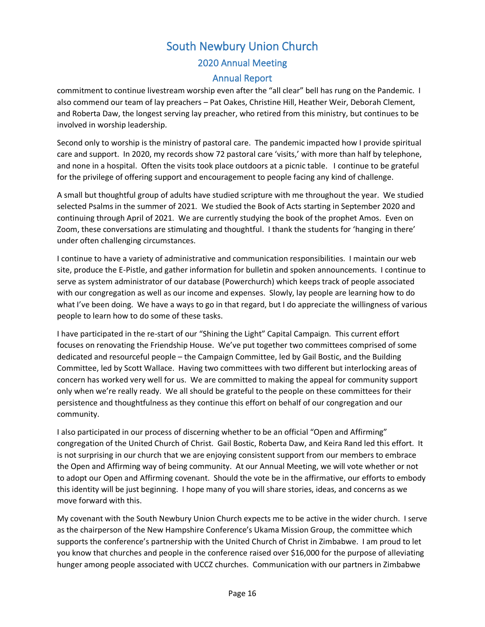# South Newbury Union Church 2020 Annual Meeting

#### Annual Report

commitment to continue livestream worship even after the "all clear" bell has rung on the Pandemic. I also commend our team of lay preachers – Pat Oakes, Christine Hill, Heather Weir, Deborah Clement, and Roberta Daw, the longest serving lay preacher, who retired from this ministry, but continues to be involved in worship leadership.

Second only to worship is the ministry of pastoral care. The pandemic impacted how I provide spiritual care and support. In 2020, my records show 72 pastoral care 'visits,' with more than half by telephone, and none in a hospital. Often the visits took place outdoors at a picnic table. I continue to be grateful for the privilege of offering support and encouragement to people facing any kind of challenge.

A small but thoughtful group of adults have studied scripture with me throughout the year. We studied selected Psalms in the summer of 2021. We studied the Book of Acts starting in September 2020 and continuing through April of 2021. We are currently studying the book of the prophet Amos. Even on Zoom, these conversations are stimulating and thoughtful. I thank the students for 'hanging in there' under often challenging circumstances.

I continue to have a variety of administrative and communication responsibilities. I maintain our web site, produce the E-Pistle, and gather information for bulletin and spoken announcements. I continue to serve as system administrator of our database (Powerchurch) which keeps track of people associated with our congregation as well as our income and expenses. Slowly, lay people are learning how to do what I've been doing. We have a ways to go in that regard, but I do appreciate the willingness of various people to learn how to do some of these tasks.

I have participated in the re-start of our "Shining the Light" Capital Campaign. This current effort focuses on renovating the Friendship House. We've put together two committees comprised of some dedicated and resourceful people – the Campaign Committee, led by Gail Bostic, and the Building Committee, led by Scott Wallace. Having two committees with two different but interlocking areas of concern has worked very well for us. We are committed to making the appeal for community support only when we're really ready. We all should be grateful to the people on these committees for their persistence and thoughtfulness as they continue this effort on behalf of our congregation and our community.

I also participated in our process of discerning whether to be an official "Open and Affirming" congregation of the United Church of Christ. Gail Bostic, Roberta Daw, and Keira Rand led this effort. It is not surprising in our church that we are enjoying consistent support from our members to embrace the Open and Affirming way of being community. At our Annual Meeting, we will vote whether or not to adopt our Open and Affirming covenant. Should the vote be in the affirmative, our efforts to embody this identity will be just beginning. I hope many of you will share stories, ideas, and concerns as we move forward with this.

My covenant with the South Newbury Union Church expects me to be active in the wider church. I serve as the chairperson of the New Hampshire Conference's Ukama Mission Group, the committee which supports the conference's partnership with the United Church of Christ in Zimbabwe. I am proud to let you know that churches and people in the conference raised over \$16,000 for the purpose of alleviating hunger among people associated with UCCZ churches. Communication with our partners in Zimbabwe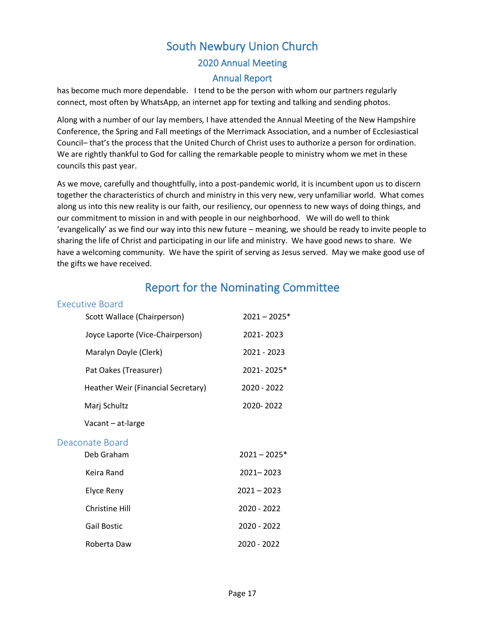# South Newbury Union Church 2020 Annual Meeting

#### Annual Report

has become much more dependable. I tend to be the person with whom our partners regularly connect, most often by WhatsApp, an internet app for texting and talking and sending photos.

Along with a number of our lay members, I have attended the Annual Meeting of the New Hampshire Conference, the Spring and Fall meetings of the Merrimack Association, and a number of Ecclesiastical Council– that's the process that the United Church of Christ uses to authorize a person for ordination. We are rightly thankful to God for calling the remarkable people to ministry whom we met in these councils this past year.

As we move, carefully and thoughtfully, into a post-pandemic world, it is incumbent upon us to discern together the characteristics of church and ministry in this very new, very unfamiliar world. What comes along us into this new reality is our faith, our resiliency, our openness to new ways of doing things, and our commitment to mission in and with people in our neighborhood. We will do well to think 'evangelically' as we find our way into this new future – meaning, we should be ready to invite people to sharing the life of Christ and participating in our life and ministry. We have good news to share. We have a welcoming community. We have the spirit of serving as Jesus served. May we make good use of the gifts we have received.

### Report for the Nominating Committee

#### <span id="page-16-1"></span><span id="page-16-0"></span>Executive Board

<span id="page-16-2"></span>

| Scott Wallace (Chairperson)        | $2021 - 2025*$ |
|------------------------------------|----------------|
| Joyce Laporte (Vice-Chairperson)   | 2021-2023      |
| Maralyn Doyle (Clerk)              | 2021 - 2023    |
| Pat Oakes (Treasurer)              | 2021-2025*     |
| Heather Weir (Financial Secretary) | 2020 - 2022    |
| Marj Schultz                       | 2020-2022      |
| Vacant - at-large                  |                |
| Deaconate Board                    |                |
| Deb Graham                         | $2021 - 2025*$ |
| Keira Rand                         | 2021-2023      |
| Elyce Reny                         | $2021 - 2023$  |
| <b>Christine Hill</b>              | 2020 - 2022    |
| <b>Gail Bostic</b>                 | 2020 - 2022    |
| Roberta Daw                        | 2020 - 2022    |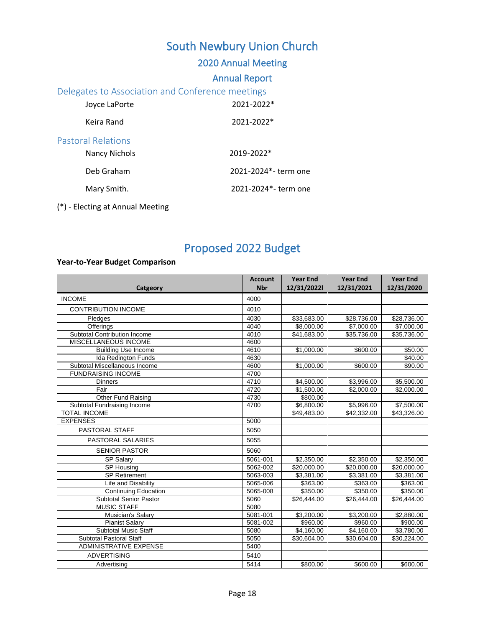### 2020 Annual Meeting

#### Annual Report

#### <span id="page-17-0"></span>Delegates to Association and Conference meetings

<span id="page-17-1"></span>

| Joyce LaPorte                              | 2021-2022*           |
|--------------------------------------------|----------------------|
| Keira Rand                                 | 2021-2022*           |
| Pastoral Relations<br><b>Nancy Nichols</b> | 2019-2022*           |
| Deb Graham                                 | 2021-2024*- term one |
| Mary Smith.                                | 2021-2024*- term one |
|                                            |                      |

#### (\*) - Electing at Annual Meeting

# Proposed 2022 Budget

#### <span id="page-17-2"></span>**Year-to-Year Budget Comparison**

|                                     | <b>Account</b> | <b>Year End</b> | <b>Year End</b> | <b>Year End</b>         |
|-------------------------------------|----------------|-----------------|-----------------|-------------------------|
| Catgeory                            | <b>Nbr</b>     | 12/31/20221     | 12/31/2021      | 12/31/2020              |
| <b>INCOME</b>                       | 4000           |                 |                 |                         |
| <b>CONTRIBUTION INCOME</b>          | 4010           |                 |                 |                         |
| Pledges                             | 4030           | \$33,683.00     | \$28,736.00     | \$28,736.00             |
| Offerings                           | 4040           | \$8,000.00      | \$7,000.00      | \$7,000.00              |
| <b>Subtotal Contribution Income</b> | 4010           | \$41,683.00     | \$35,736.00     | \$35,736.00             |
| <b>MISCELLANEOUS INCOME</b>         | 4600           |                 |                 |                         |
| <b>Building Use Income</b>          | 4610           | \$1,000.00      | \$600.00        | \$50.00                 |
| Ida Redington Funds                 | 4630           |                 |                 | \$40.00                 |
| Subtotal Miscellaneous Income       | 4600           | \$1,000.00      | \$600.00        | \$90.00                 |
| <b>FUNDRAISING INCOME</b>           | 4700           |                 |                 |                         |
| <b>Dinners</b>                      | 4710           | \$4,500.00      | \$3,996.00      | \$5,500.00              |
| Fair                                | 4720           | \$1,500.00      | \$2,000.00      | \$2,000.00              |
| Other Fund Raising                  | 4730           | \$800.00        |                 |                         |
| Subtotal Fundraising Income         | 4700           | \$6,800.00      | \$5,996.00      | \$7,500.00              |
| <b>TOTAL INCOME</b>                 |                | \$49,483.00     | \$42,332.00     | \$43,326.00             |
| <b>EXPENSES</b>                     | 5000           |                 |                 |                         |
| PASTORAL STAFF                      | 5050           |                 |                 |                         |
| PASTORAL SALARIES                   | 5055           |                 |                 |                         |
| <b>SENIOR PASTOR</b>                | 5060           |                 |                 |                         |
| SP Salary                           | 5061-001       | \$2,350.00      | \$2,350.00      | \$2,350.00              |
| SP Housing                          | 5062-002       | \$20,000.00     | \$20,000.00     | \$20,000.00             |
| <b>SP Retirement</b>                | 5063-003       | \$3,381.00      | \$3,381.00      | \$3,381.00              |
| Life and Disability                 | 5065-006       | \$363.00        | \$363.00        | \$363.00                |
| <b>Continuing Education</b>         | 5065-008       | \$350.00        | \$350.00        | \$350.00                |
| <b>Subtotal Senior Pastor</b>       | 5060           | \$26,444.00     | \$26,444.00     | \$26,444.00             |
| <b>MUSIC STAFF</b>                  | 5080           |                 |                 |                         |
| Musician's Salary                   | 5081-001       | \$3,200.00      | \$3,200.00      | \$2,880.00              |
| Pianist Salary                      | 5081-002       | \$960.00        | \$960.00        | \$900.00                |
| <b>Subtotal Music Staff</b>         | 5080           | \$4,160.00      | \$4,160.00      | \$3,780.00              |
| Subtotal Pastoral Staff             | 5050           | \$30,604.00     | \$30,604.00     | $\overline{$30,224.00}$ |
| <b>ADMINISTRATIVE EXPENSE</b>       | 5400           |                 |                 |                         |
| <b>ADVERTISING</b>                  | 5410           |                 |                 |                         |
| Advertising                         | 5414           | \$800.00        | \$600.00        | \$600.00                |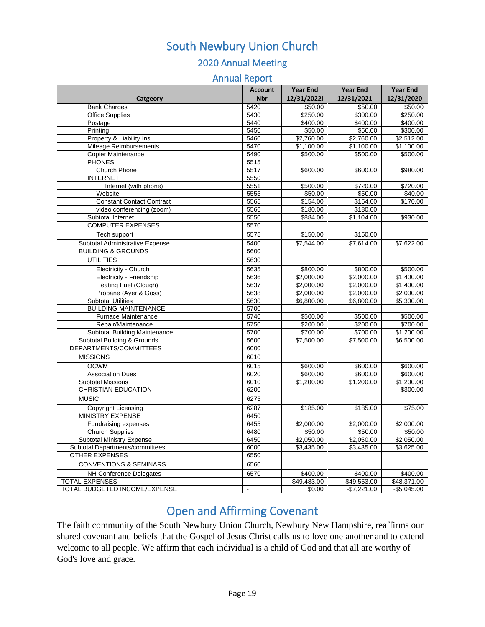### 2020 Annual Meeting

#### Annual Report

|                                      | <b>Account</b> | <b>Year End</b>      | <b>Year End</b> | <b>Year End</b> |
|--------------------------------------|----------------|----------------------|-----------------|-----------------|
| Catgeory                             | <b>Nbr</b>     | 12/31/20221          | 12/31/2021      | 12/31/2020      |
| <b>Bank Charges</b>                  | 5420           | \$50.00              | \$50.00         | \$50.00         |
| <b>Office Supplies</b>               | 5430           | \$250.00             | \$300.00        | \$250.00        |
| Postage                              | 5440           | \$400.00             | \$400.00        | \$400.00        |
| Printing                             | 5450           | \$50.00              | \$50.00         | \$300.00        |
| Property & Liability Ins             | 5460           | \$2,760.00           | \$2,760.00      | \$2,512.00      |
| Mileage Reimbursements               | 5470           | \$1,100.00           | \$1,100.00      | \$1,100.00      |
| Copier Maintenance                   | 5490           | \$500.00             | \$500.00        | \$500.00        |
| <b>PHONES</b>                        | 5515           |                      |                 |                 |
| Church Phone                         | 5517           | \$600.00             | \$600.00        | \$980.00        |
| <b>INTERNET</b>                      | 5550           |                      |                 |                 |
| Internet (with phone)                | 5551           | \$500.00             | \$720.00        | \$720.00        |
| Website                              | 5555           | \$50.00              | \$50.00         | \$40.00         |
| <b>Constant Contact Contract</b>     | 5565           | \$154.00             | \$154.00        | \$170.00        |
| video conferencing (zoom)            | 5566           | \$180.00             | \$180.00        |                 |
| Subtotal Internet                    | 5550           | \$884.00             | \$1,104.00      | \$930.00        |
| <b>COMPUTER EXPENSES</b>             | 5570           |                      |                 |                 |
| Tech support                         | 5575           | \$150.00             | \$150.00        |                 |
| Subtotal Administrative Expense      | 5400           | \$7,544.00           | \$7,614.00      | \$7,622.00      |
| <b>BUILDING &amp; GROUNDS</b>        | 5600           |                      |                 |                 |
| <b>UTILITIES</b>                     | 5630           |                      |                 |                 |
| Electricity - Church                 | 5635           | \$800.00             | \$800.00        | \$500.00        |
| Electricity - Friendship             | 5636           | \$2,000.00           | \$2,000.00      | \$1,400.00      |
| <b>Heating Fuel (Clough)</b>         | 5637           | \$2,000.00           | \$2,000.00      | \$1,400.00      |
| Propane (Ayer & Goss)                | 5638           | \$2,000.00           | \$2,000.00      | \$2,000.00      |
| <b>Subtotal Utilities</b>            | 5630           | \$6,800.00           | \$6,800.00      | \$5,300.00      |
| <b>BUILDING MAINTENANCE</b>          | 5700           |                      |                 |                 |
| Furnace Maintenance                  | 5740           | \$500.00             | \$500.00        | \$500.00        |
| Repair/Maintenance                   | 5750           | \$200.00             | \$200.00        | \$700.00        |
| <b>Subtotal Building Maintenance</b> | 5700           | \$700.00             | \$700.00        | \$1,200.00      |
| Subtotal Building & Grounds          | 5600           | \$7,500.00           | \$7,500.00      | \$6,500.00      |
| DEPARTMENTS/COMMITTEES               | 6000           |                      |                 |                 |
| <b>MISSIONS</b>                      | 6010           |                      |                 |                 |
| <b>OCWM</b>                          | 6015           | \$600.00             | \$600.00        | \$600.00        |
| <b>Association Dues</b>              | 6020           | \$600.00             | \$600.00        | \$600.00        |
| <b>Subtotal Missions</b>             | 6010           | \$1,200.00           | \$1,200.00      | \$1,200.00      |
| <b>CHRISTIAN EDUCATION</b>           | 6200           |                      |                 | \$300.00        |
| <b>MUSIC</b>                         | 6275           |                      |                 |                 |
| <b>Copyright Licensing</b>           | 6287           | $\overline{$}185.00$ | \$185.00        | \$75.00         |
| <b>MINISTRY EXPENSE</b>              | 6450           |                      |                 |                 |
| Fundraising expenses                 | 6455           | \$2,000.00           | \$2,000.00      | \$2,000.00      |
| <b>Church Supplies</b>               | 6480           | \$50.00              | \$50.00         | \$50.00         |
| <b>Subtotal Ministry Expense</b>     | 6450           | \$2,050.00           | \$2,050.00      | \$2,050.00      |
| Subtotal Departments/committees      | 6000           | \$3,435.00           | \$3,435.00      | \$3,625.00      |
| <b>OTHER EXPENSES</b>                | 6550           |                      |                 |                 |
| <b>CONVENTIONS &amp; SEMINARS</b>    | 6560           |                      |                 |                 |
| NH Conference Delegates              | 6570           | \$400.00             | \$400.00        | \$400.00        |
| <b>TOTAL EXPENSES</b>                |                | \$49,483.00          | \$49,553.00     | \$48,371.00     |
| <b>TOTAL BUDGETED INCOME/EXPENSE</b> | $\mathbf{r}$   | \$0.00               | $-$7,221.00$    | $-$5,045.00$    |

### Open and Affirming Covenant

<span id="page-18-0"></span>The faith community of the South Newbury Union Church, Newbury New Hampshire, reaffirms our shared covenant and beliefs that the Gospel of Jesus Christ calls us to love one another and to extend welcome to all people. We affirm that each individual is a child of God and that all are worthy of God's love and grace.